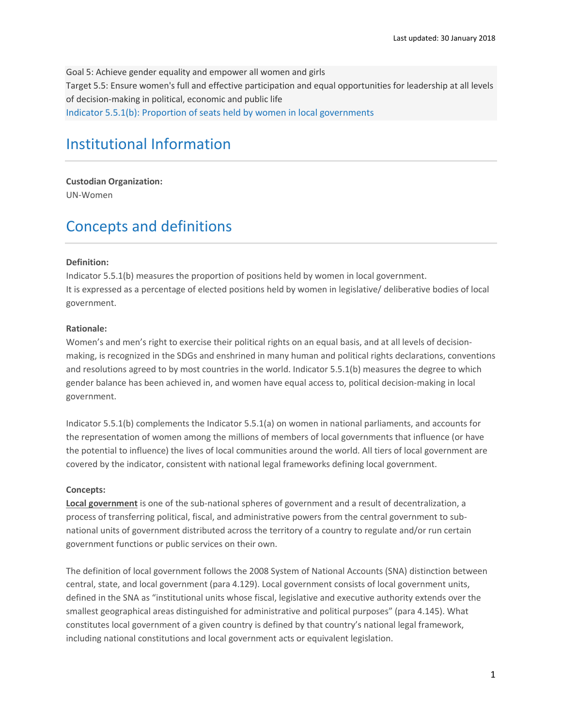Goal 5: Achieve gender equality and empower all women and girls Target 5.5: Ensure women's full and effective participation and equal opportunities for leadership at all levels of decision-making in political, economic and public life Indicator 5.5.1(b): Proportion of seats held by women in local governments

# Institutional Information

**Custodian Organization:** UN-Women

## Concepts and definitions

### **Definition:**

Indicator 5.5.1(b) measures the proportion of positions held by women in local government. It is expressed as a percentage of elected positions held by women in legislative/ deliberative bodies of local government.

### **Rationale:**

Women's and men's right to exercise their political rights on an equal basis, and at all levels of decisionmaking, is recognized in the SDGs and enshrined in many human and political rights declarations, conventions and resolutions agreed to by most countries in the world. Indicator 5.5.1(b) measures the degree to which gender balance has been achieved in, and women have equal access to, political decision-making in local government.

Indicator 5.5.1(b) complements the Indicator 5.5.1(a) on women in national parliaments, and accounts for the representation of women among the millions of members of local governments that influence (or have the potential to influence) the lives of local communities around the world. All tiers of local government are covered by the indicator, consistent with national legal frameworks defining local government.

### **Concepts:**

**Local government** is one of the sub-national spheres of government and a result of decentralization, a process of transferring political, fiscal, and administrative powers from the central government to subnational units of government distributed across the territory of a country to regulate and/or run certain government functions or public services on their own.

The definition of local government follows the 2008 System of National Accounts (SNA) distinction between central, state, and local government (para 4.129). Local government consists of local government units, defined in the SNA as "institutional units whose fiscal, legislative and executive authority extends over the smallest geographical areas distinguished for administrative and political purposes" (para 4.145). What constitutes local government of a given country is defined by that country's national legal framework, including national constitutions and local government acts or equivalent legislation.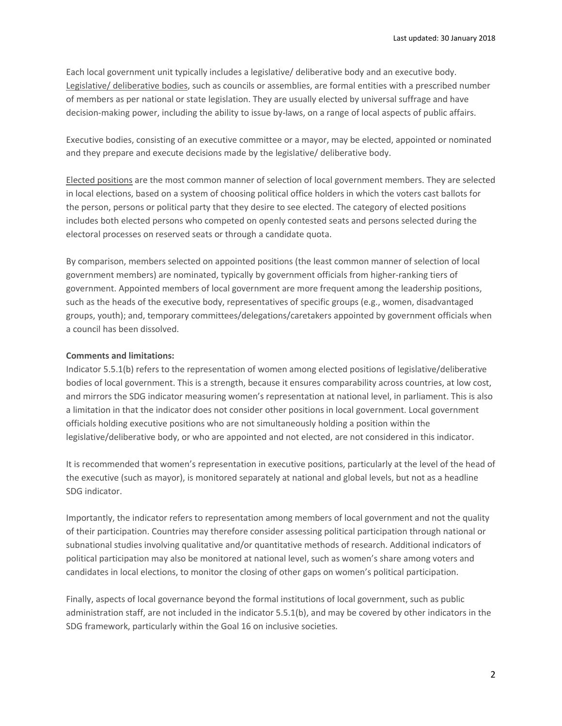Each local government unit typically includes a legislative/ deliberative body and an executive body. Legislative/ deliberative bodies, such as councils or assemblies, are formal entities with a prescribed number of members as per national or state legislation. They are usually elected by universal suffrage and have decision-making power, including the ability to issue by-laws, on a range of local aspects of public affairs.

Executive bodies, consisting of an executive committee or a mayor, may be elected, appointed or nominated and they prepare and execute decisions made by the legislative/ deliberative body.

Elected positions are the most common manner of selection of local government members. They are selected in local elections, based on a system of choosing political office holders in which the voters cast ballots for the person, persons or political party that they desire to see elected. The category of elected positions includes both elected persons who competed on openly contested seats and persons selected during the electoral processes on reserved seats or through a candidate quota.

By comparison, members selected on appointed positions (the least common manner of selection of local government members) are nominated, typically by government officials from higher-ranking tiers of government. Appointed members of local government are more frequent among the leadership positions, such as the heads of the executive body, representatives of specific groups (e.g., women, disadvantaged groups, youth); and, temporary committees/delegations/caretakers appointed by government officials when a council has been dissolved.

### **Comments and limitations:**

Indicator 5.5.1(b) refers to the representation of women among elected positions of legislative/deliberative bodies of local government. This is a strength, because it ensures comparability across countries, at low cost, and mirrors the SDG indicator measuring women's representation at national level, in parliament. This is also a limitation in that the indicator does not consider other positions in local government. Local government officials holding executive positions who are not simultaneously holding a position within the legislative/deliberative body, or who are appointed and not elected, are not considered in this indicator.

It is recommended that women's representation in executive positions, particularly at the level of the head of the executive (such as mayor), is monitored separately at national and global levels, but not as a headline SDG indicator.

Importantly, the indicator refers to representation among members of local government and not the quality of their participation. Countries may therefore consider assessing political participation through national or subnational studies involving qualitative and/or quantitative methods of research. Additional indicators of political participation may also be monitored at national level, such as women's share among voters and candidates in local elections, to monitor the closing of other gaps on women's political participation.

Finally, aspects of local governance beyond the formal institutions of local government, such as public administration staff, are not included in the indicator 5.5.1(b), and may be covered by other indicators in the SDG framework, particularly within the Goal 16 on inclusive societies.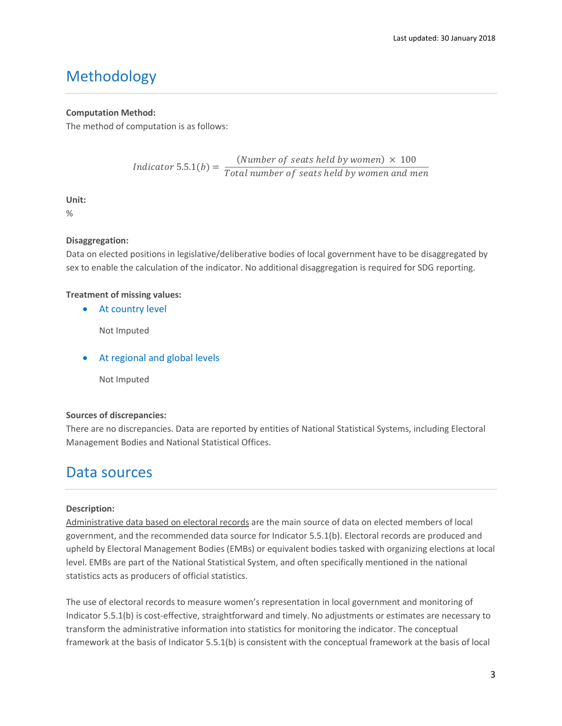# Methodology

### **Computation Method:**

The method of computation is as follows:

$$
Indication 5.5.1(b) = \frac{(Number of seats held by women) \times 100}{Total number of seats held by women and men}
$$

### **Unit:**

%

### **Disaggregation:**

Data on elected positions in legislative/deliberative bodies of local government have to be disaggregated by sex to enable the calculation of the indicator. No additional disaggregation is required for SDG reporting.

### **Treatment of missing values:**

• At country level

Not Imputed

• At regional and global levels

Not Imputed

### **Sources of discrepancies:**

There are no discrepancies. Data are reported by entities of National Statistical Systems, including Electoral Management Bodies and National Statistical Offices.

### Data sources

### **Description:**

Administrative data based on electoral records are the main source of data on elected members of local government, and the recommended data source for Indicator 5.5.1(b). Electoral records are produced and upheld by Electoral Management Bodies (EMBs) or equivalent bodies tasked with organizing elections at local level. EMBs are part of the National Statistical System, and often specifically mentioned in the national statistics acts as producers of official statistics.

The use of electoral records to measure women's representation in local government and monitoring of Indicator 5.5.1(b) is cost-effective, straightforward and timely. No adjustments or estimates are necessary to transform the administrative information into statistics for monitoring the indicator. The conceptual framework at the basis of Indicator 5.5.1(b) is consistent with the conceptual framework at the basis of local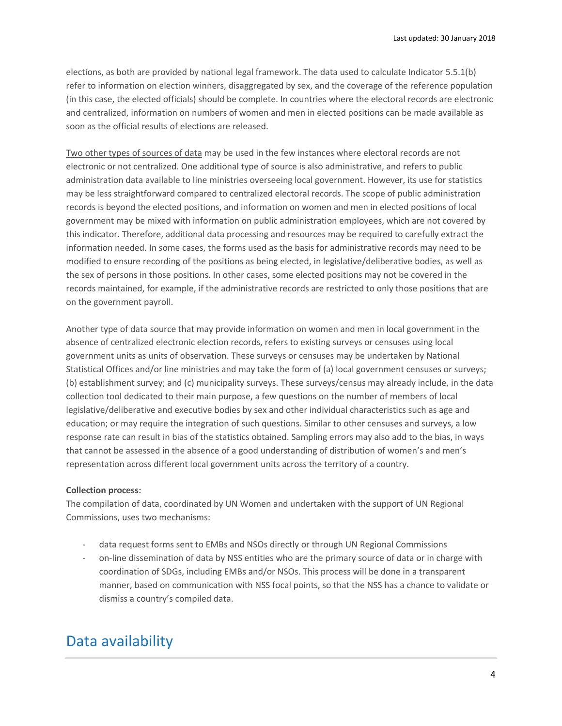elections, as both are provided by national legal framework. The data used to calculate Indicator 5.5.1(b) refer to information on election winners, disaggregated by sex, and the coverage of the reference population (in this case, the elected officials) should be complete. In countries where the electoral records are electronic and centralized, information on numbers of women and men in elected positions can be made available as soon as the official results of elections are released.

Two other types of sources of data may be used in the few instances where electoral records are not electronic or not centralized. One additional type of source is also administrative, and refers to public administration data available to line ministries overseeing local government. However, its use for statistics may be less straightforward compared to centralized electoral records. The scope of public administration records is beyond the elected positions, and information on women and men in elected positions of local government may be mixed with information on public administration employees, which are not covered by this indicator. Therefore, additional data processing and resources may be required to carefully extract the information needed. In some cases, the forms used as the basis for administrative records may need to be modified to ensure recording of the positions as being elected, in legislative/deliberative bodies, as well as the sex of persons in those positions. In other cases, some elected positions may not be covered in the records maintained, for example, if the administrative records are restricted to only those positions that are on the government payroll.

Another type of data source that may provide information on women and men in local government in the absence of centralized electronic election records, refers to existing surveys or censuses using local government units as units of observation. These surveys or censuses may be undertaken by National Statistical Offices and/or line ministries and may take the form of (a) local government censuses or surveys; (b) establishment survey; and (c) municipality surveys. These surveys/census may already include, in the data collection tool dedicated to their main purpose, a few questions on the number of members of local legislative/deliberative and executive bodies by sex and other individual characteristics such as age and education; or may require the integration of such questions. Similar to other censuses and surveys, a low response rate can result in bias of the statistics obtained. Sampling errors may also add to the bias, in ways that cannot be assessed in the absence of a good understanding of distribution of women's and men's representation across different local government units across the territory of a country.

### **Collection process:**

The compilation of data, coordinated by UN Women and undertaken with the support of UN Regional Commissions, uses two mechanisms:

- data request forms sent to EMBs and NSOs directly or through UN Regional Commissions
- on-line dissemination of data by NSS entities who are the primary source of data or in charge with coordination of SDGs, including EMBs and/or NSOs. This process will be done in a transparent manner, based on communication with NSS focal points, so that the NSS has a chance to validate or dismiss a country's compiled data.

## Data availability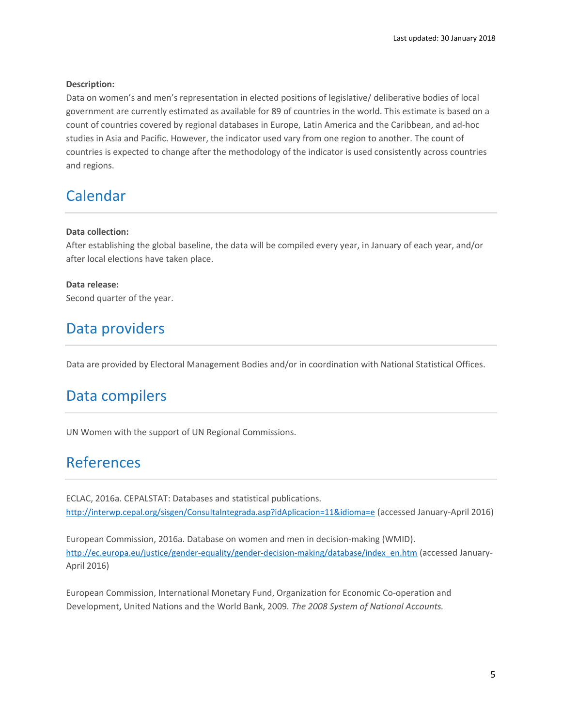### **Description:**

Data on women's and men's representation in elected positions of legislative/ deliberative bodies of local government are currently estimated as available for 89 of countries in the world. This estimate is based on a count of countries covered by regional databases in Europe, Latin America and the Caribbean, and ad-hoc studies in Asia and Pacific. However, the indicator used vary from one region to another. The count of countries is expected to change after the methodology of the indicator is used consistently across countries and regions.

## Calendar

### **Data collection:**

After establishing the global baseline, the data will be compiled every year, in January of each year, and/or after local elections have taken place.

**Data release:** Second quarter of the year.

## Data providers

Data are provided by Electoral Management Bodies and/or in coordination with National Statistical Offices.

## Data compilers

UN Women with the support of UN Regional Commissions.

# References

ECLAC, 2016a. CEPALSTAT: Databases and statistical publications. <http://interwp.cepal.org/sisgen/ConsultaIntegrada.asp?idAplicacion=11&idioma=e> (accessed January-April 2016)

European Commission, 2016a. Database on women and men in decision-making (WMID). [http://ec.europa.eu/justice/gender-equality/gender-decision-making/database/index\\_en.htm](http://ec.europa.eu/justice/gender-equality/gender-decision-making/database/index_en.htm) (accessed January-April 2016)

European Commission, International Monetary Fund, Organization for Economic Co-operation and Development, United Nations and the World Bank, 2009*. The 2008 System of National Accounts.*